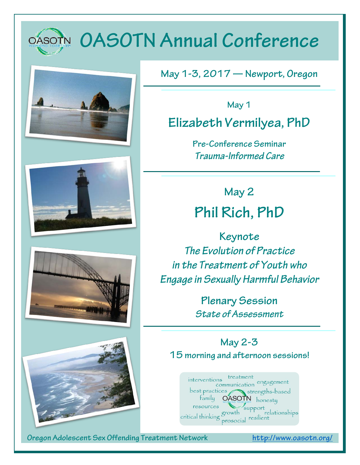

# **OASOTN Annual Conference**





**May 1-3, 2017 — Newport, Oregon**

# **May 1**

# **Elizabeth Vermilyea, PhD**

**Pre-Conference Seminar** *Trauma-Informed Care*

# **May 2**

# **Phil Rich, PhD**

**Keynote** *The Evolution of Practice in the Treatment of Youth who Engage in Sexually Harmful Behavior*

> **Plenary Session** *State of Assessment*

# **May 2-3**

**15 morning and afternoon sessions!**

treatment interventions ons<br>communication engagement best practices strengths-based family **OASOTN** honesty resources<br>support<br>critical thinking<br>prosocial resilient

 $\overline{\phantom{a}}$ **Oregon Adolescent Sex Offending Treatment Network <http://www.oasotn.org/>**

j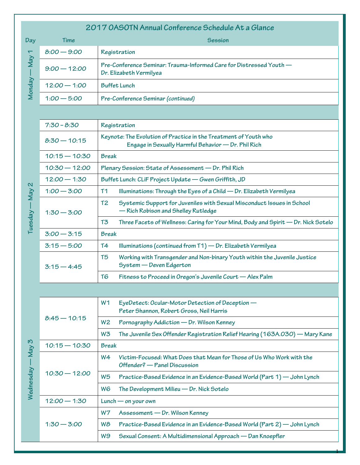### **2017 OASOTN Annual Conference Schedule At a Glance**

| <u>ід</u>   |
|-------------|
|             |
|             |
|             |
| ה<br>ק<br>ī |
|             |
|             |

| Day                          | Time           | <b>Session</b>                                                                                 |
|------------------------------|----------------|------------------------------------------------------------------------------------------------|
| <b>Vay</b><br>ζΡ<br><b>S</b> | $8:00 - 9:00$  | Registration                                                                                   |
|                              | $9:00 - 12:00$ | Pre-Conference Seminar: Trauma-Informed Care for Distressed Youth -<br>Dr. Elizabeth Vermilyea |
|                              | $12:00 - 1:00$ | <b>Buffet Lunch</b>                                                                            |
|                              | $1:00 - 5:00$  | Pre-Conference Seminar (continued)                                                             |

| $7:30 - 8:30$   | Registration                                                                                                                    |  |  |
|-----------------|---------------------------------------------------------------------------------------------------------------------------------|--|--|
| $8:30 - 10:15$  | Keynote: The Evolution of Practice in the Treatment of Youth who<br>Engage in Sexually Harmful Behavior — Dr. Phil Rich         |  |  |
| $10:15 - 10:30$ | <b>Break</b>                                                                                                                    |  |  |
| $10:30 - 12:00$ | Plenary Session: State of Assessment - Dr. Phil Rich                                                                            |  |  |
| $12:00 - 1:30$  | Buffet Lunch: CLiF Project Update — Gwen Griffith, JD                                                                           |  |  |
| $1:00 - 3:00$   | T1<br>Illuminations: Through the Eyes of a Child $-$ Dr. Elizabeth Vermilyea                                                    |  |  |
| $1:30 - 3:00$   | T <sub>2</sub><br>Systemic Support for Juveniles with Sexual Misconduct Issues in School<br>- Rich Robison and Shelley Rutledge |  |  |
|                 | T <sub>3</sub><br>Three Facets of Wellness: Caring for Your Mind, Body and Spirit — Dr. Nick Sotelo                             |  |  |
| $3:00 - 3:15$   | <b>Break</b>                                                                                                                    |  |  |
| $3:15 - 5:00$   | Illuminations (continued from T1) — Dr. Elizabeth Vermilyea<br>T4                                                               |  |  |
| $3:15 - 4:45$   | T5<br>Working with Transgender and Non-binary Youth within the Juvenile Justice<br>System - Deven Edgerton                      |  |  |
|                 | T6<br>Fitness to Proceed in Oregon's Juvenile Court – Alex Palm                                                                 |  |  |

|                         | $8:45 - 10:15$  | W1<br>EyeDetect: Ocular-Motor Detection of Deception -<br>Peter Shannon, Robert Gross, Neil Harris          |
|-------------------------|-----------------|-------------------------------------------------------------------------------------------------------------|
|                         |                 | W <sub>2</sub><br>Pornography Addiction - Dr. Wilson Kenney                                                 |
|                         |                 | The Juvenile Sex Offender Registration Relief Hearing (163A.030) — Mary Kane<br>W <sub>3</sub>              |
| ΓŊ.<br>Vay<br>Wednesday | $10:15 - 10:30$ | <b>Break</b>                                                                                                |
|                         | $10:30 - 12:00$ | Victim-Focused: What Does that Mean for Those of Us Who Work with the<br>W4<br>Offender? — Panel Discussion |
|                         |                 | W5<br>Practice-Based Evidence in an Evidence-Based World (Part 1) — John Lynch                              |
|                         |                 | W6<br>The Development Milieu - Dr. Nick Sotelo                                                              |
|                         | $12:00 - 1:30$  | $Lunch - on your own$                                                                                       |
|                         | $1:30 - 3:00$   | W7<br>$A$ ssessment — Dr. Wilson Kenney                                                                     |
|                         |                 | W <sub>8</sub><br>Practice-Based Evidence in an Evidence-Based World (Part 2) — John Lynch                  |
|                         |                 | Sexual Consent: A Multidimensional Approach — Dan Knoepfler<br>W <sub>9</sub>                               |
|                         |                 |                                                                                                             |

1

**Tuesday May 2**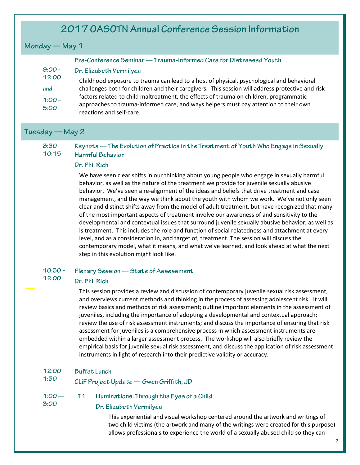### **Monday — May 1**

|                                              | Pre-Conference Seminar — Trauma-Informed Care for Distressed Youth                                                                                                                                                                                                                                                                                                              |
|----------------------------------------------|---------------------------------------------------------------------------------------------------------------------------------------------------------------------------------------------------------------------------------------------------------------------------------------------------------------------------------------------------------------------------------|
| $9:00 -$<br>12:00<br>and<br>$1:00 -$<br>5:00 | Dr. Elizabeth Vermilyea                                                                                                                                                                                                                                                                                                                                                         |
|                                              | Childhood exposure to trauma can lead to a host of physical, psychological and behavioral<br>challenges both for children and their caregivers. This session will address protective and risk<br>factors related to child maltreatment, the effects of trauma on children, programmatic<br>approaches to trauma-informed care, and ways helpers must pay attention to their own |
|                                              | reactions and self-care.                                                                                                                                                                                                                                                                                                                                                        |

### **Tuesday — May 2**

#### **8:30 – 10:15 Keynote — The Evolution of Practice in the Treatment of Youth Who Engage in Sexually Harmful Behavior**

#### **Dr. Phil Rich**

We have seen clear shifts in our thinking about young people who engage in sexually harmful behavior, as well as the nature of the treatment we provide for juvenile sexually abusive behavior. We've seen a re-alignment of the ideas and beliefs that drive treatment and case management, and the way we think about the youth with whom we work. We've not only seen clear and distinct shifts away from the model of adult treatment, but have recognized that many of the most important aspects of treatment involve our awareness of and sensitivity to the developmental and contextual issues that surround juvenile sexually abusive behavior, as well as is treatment. This includes the role and function of social relatedness and attachment at every level, and as a consideration in, and target of, treatment. The session will discuss the contemporary model, what it means, and what we've learned, and look ahead at what the next step in this evolution might look like.

#### **10:30 – Plenary Session — State of Assessment**

#### **12:00 Dr. Phil Rich**

This session provides a review and discussion of contemporary juvenile sexual risk assessment, and overviews current methods and thinking in the process of assessing adolescent risk. It will review basics and methods of risk assessment; outline important elements in the assessment of juveniles, including the importance of adopting a developmental and contextual approach; review the use of risk assessment instruments; and discuss the importance of ensuring that risk assessment for juveniles is a comprehensive process in which assessment instruments are embedded within a larger assessment process. The workshop will also briefly review the empirical basis for juvenile sexual risk assessment, and discuss the application of risk assessment instruments in light of research into their predictive validity or accuracy.

#### **12:00 – Buffet Lunch**

#### **1:30 CLiF Project Update — Gwen Griffith, JD**

- **1:00 — T1 Illuminations: Through the Eyes of a Child**
- **3:00**
- **Dr. Elizabeth Vermilyea**

This experiential and visual workshop centered around the artwork and writings of two child victims (the artwork and many of the writings were created for this purpose) allows professionals to experience the world of a sexually abused child so they can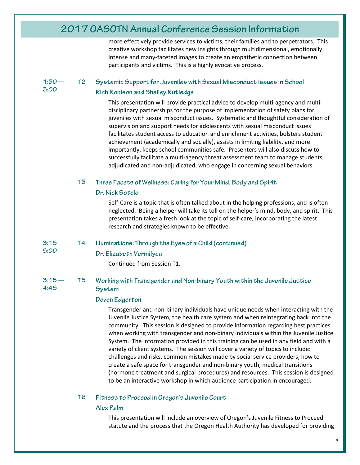more effectively provide services to victims, their families and to perpetrators. This creative workshop facilitates new insights through multidimensional, emotionally intense and many-faceted images to create an empathetic connection between participants and victims. This is a highly evocative process.

#### **1:30 — 3:00 T2 Systemic Support for Juveniles with Sexual Misconduct Issues in School Rich Robison and Shelley Rutledge**

This presentation will provide practical advice to develop multi-agency and multidisciplinary partnerships for the purpose of implementation of safety plans for juveniles with sexual misconduct issues. Systematic and thoughtful consideration of supervision and support needs for adolescents with sexual misconduct issues facilitates student access to education and enrichment activities, bolsters student achievement (academically and socially), assists in limiting liability, and more importantly, keeps school communities safe. Presenters will also discuss how to successfully facilitate a multi-agency threat assessment team to manage students, adjudicated and non-adjudicated, who engage in concerning sexual behaviors.

#### **T3 Three Facets of Wellness: Caring for Your Mind, Body and Spirit**

#### **Dr. Nick Sotelo**

Self-Care is a topic that is often talked about in the helping professions, and is often neglected. Being a helper will take its toll on the helper's mind, body, and spirit. This presentation takes a fresh look at the topic of self-care, incorporating the latest research and strategies known to be effective.

- **3:15 — T4 Illuminations: Through the Eyes of a Child (continued)**
- **5:00 Dr. Elizabeth Vermilyea**

Continued from Session T1.

#### **3:15 — 4:45 T5 Working with Transgender and Non-binary Youth within the Juvenile Justice System**

#### **Deven Edgerton**

Transgender and non-binary individuals have unique needs when interacting with the Juvenile Justice System, the health care system and when reintegrating back into the community. This session is designed to provide information regarding best practices when working with transgender and non-binary individuals within the Juvenile Justice System. The information provided in this training can be used in any field and with a variety of client systems. The session will cover a variety of topics to include: challenges and risks, common mistakes made by social service providers, how to create a safe space for transgender and non-binary youth, medical transitions (hormone treatment and surgical procedures) and resources. This session is designed to be an interactive workshop in which audience participation in encouraged.

#### **T6 Fitness to Proceed in Oregon's Juvenile Court**

#### **Alex Palm**

This presentation will include an overview of Oregon's Juvenile Fitness to Proceed statute and the process that the Oregon Health Authority has developed for providing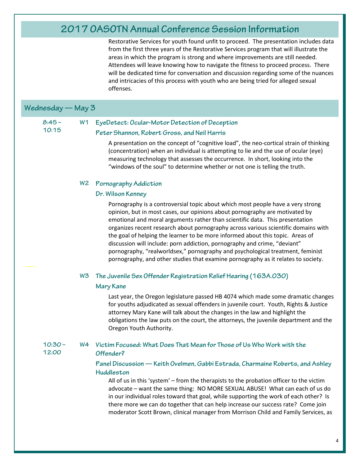Restorative Services for youth found unfit to proceed. The presentation includes data from the first three years of the Restorative Services program that will illustrate the areas in which the program is strong and where improvements are still needed. Attendees will leave knowing how to navigate the fitness to proceed process. There will be dedicated time for conversation and discussion regarding some of the nuances and intricacies of this process with youth who are being tried for alleged sexual offenses.

#### **Wednesday — May 3**

#### **8:45 – W1 EyeDetect: Ocular-Motor Detection of Deception**

**10:15**

#### **Peter Shannon, Robert Gross, and Neil Harris**

A presentation on the concept of "cognitive load", the neo-cortical strain of thinking (concentration) when an individual is attempting to lie and the use of ocular (eye) measuring technology that assesses the occurrence. In short, looking into the "windows of the soul" to determine whether or not one is telling the truth.

#### **W2 Pornography Addiction**

#### **Dr. Wilson Kenney**

Pornography is a controversial topic about which most people have a very strong opinion, but in most cases, our opinions about pornography are motivated by emotional and moral arguments rather than scientific data. This presentation organizes recent research about pornography across various scientific domains with the goal of helping the learner to be more informed about this topic. Areas of discussion will include: porn addiction, pornography and crime, "deviant" pornography, "realworldsex," pornography and psychological treatment, feminist pornography, and other studies that examine pornography as it relates to society.

#### **W3 The Juvenile Sex Offender Registration Relief Hearing (163A.030)**

#### **Mary Kane**

Last year, the Oregon legislature passed HB 4074 which made some dramatic changes for youths adjudicated as sexual offenders in juvenile court. Youth, Rights & Justice attorney Mary Kane will talk about the changes in the law and highlight the obligations the law puts on the court, the attorneys, the juvenile department and the Oregon Youth Authority.

#### **10:30 – 12:00 W4 Victim Focused: What Does That Mean for Those of Us Who Work with the**

#### **Offender?**

#### **Panel Discussion — Keith Ovelmen, Gabbi Estrada, Charmaine Roberts, and Ashley Huddleston**

All of us in this 'system' – from the therapists to the probation officer to the victim advocate – want the same thing: NO MORE SEXUAL ABUSE! What can each of us do in our individual roles toward that goal, while supporting the work of each other? Is there more we can do together that can help increase our success rate? Come join moderator Scott Brown, clinical manager from Morrison Child and Family Services, as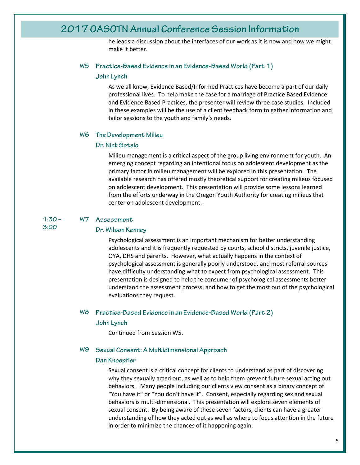he leads a discussion about the interfaces of our work as it is now and how we might make it better.

#### **W5 Practice-Based Evidence in an Evidence-Based World (Part 1)**

#### **John Lynch**

As we all know, Evidence Based/Informed Practices have become a part of our daily professional lives. To help make the case for a marriage of Practice Based Evidence and Evidence Based Practices, the presenter will review three case studies. Included in these examples will be the use of a client feedback form to gather information and tailor sessions to the youth and family's needs.

#### **W6 The Development Milieu**

#### **Dr. Nick Sotelo**

Milieu management is a critical aspect of the group living environment for youth. An emerging concept regarding an intentional focus on adolescent development as the primary factor in milieu management will be explored in this presentation. The available research has offered mostly theoretical support for creating milieus focused on adolescent development. This presentation will provide some lessons learned from the efforts underway in the Oregon Youth Authority for creating milieus that center on adolescent development.

#### **1:30 – 3:00 W7 Assessment**

#### **Dr. Wilson Kenney**

Psychological assessment is an important mechanism for better understanding adolescents and it is frequently requested by courts, school districts, juvenile justice, OYA, DHS and parents. However, what actually happens in the context of psychological assessment is generally poorly understood, and most referral sources have difficulty understanding what to expect from psychological assessment. This presentation is designed to help the consumer of psychological assessments better understand the assessment process, and how to get the most out of the psychological evaluations they request.

#### **W8 Practice-Based Evidence in an Evidence-Based World (Part 2)**

#### **John Lynch**

Continued from Session W5.

#### **W9 Sexual Consent: A Multidimensional Approach**

#### **Dan Knoepfler**

Sexual consent is a critical concept for clients to understand as part of discovering why they sexually acted out, as well as to help them prevent future sexual acting out behaviors. Many people including our clients view consent as a binary concept of "You have it" or "You don't have it". Consent, especially regarding sex and sexual behaviors is multi-dimensional. This presentation will explore seven elements of sexual consent. By being aware of these seven factors, clients can have a greater understanding of how they acted out as well as where to focus attention in the future in order to minimize the chances of it happening again.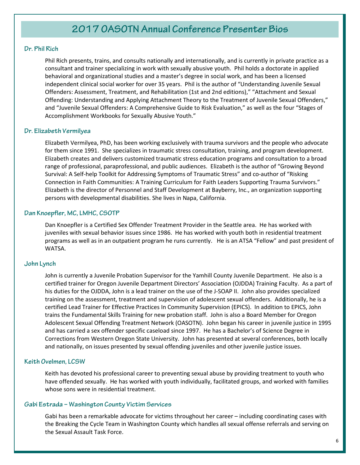## **2017 OASOTN Annual Conference Presenter Bios**

#### **Dr. Phil Rich**

Phil Rich presents, trains, and consults nationally and internationally, and is currently in private practice as a consultant and trainer specializing in work with sexually abusive youth. Phil holds a doctorate in applied behavioral and organizational studies and a master's degree in social work, and has been a licensed independent clinical social worker for over 35 years. Phil is the author of "Understanding Juvenile Sexual Offenders: Assessment, Treatment, and Rehabilitation (1st and 2nd editions)," "Attachment and Sexual Offending: Understanding and Applying Attachment Theory to the Treatment of Juvenile Sexual Offenders," and "Juvenile Sexual Offenders: A Comprehensive Guide to Risk Evaluation," as well as the four "Stages of Accomplishment Workbooks for Sexually Abusive Youth."

#### **Dr. Elizabeth Vermilyea**

Elizabeth Vermilyea, PhD, has been working exclusively with trauma survivors and the people who advocate for them since 1991. She specializes in traumatic stress consultation, training, and program development. Elizabeth creates and delivers customized traumatic stress education programs and consultation to a broad range of professional, paraprofessional, and public audiences. Elizabeth is the author of "Growing Beyond Survival: A Self-help Toolkit for Addressing Symptoms of Traumatic Stress" and co-author of "Risking Connection in Faith Communities: A Training Curriculum for Faith Leaders Supporting Trauma Survivors." Elizabeth is the director of Personnel and Staff Development at Bayberry, Inc., an organization supporting persons with developmental disabilities. She lives in Napa, California.

#### **Dan Knoepfler, MC, LMHC, CSOTP**

Dan Knoepfler is a Certified Sex Offender Treatment Provider in the Seattle area. He has worked with juveniles with sexual behavior issues since 1986. He has worked with youth both in residential treatment programs as well as in an outpatient program he runs currently. He is an ATSA "Fellow" and past president of WATSA.

#### **John Lynch**

John is currently a Juvenile Probation Supervisor for the Yamhill County Juvenile Department. He also is a certified trainer for Oregon Juvenile Department Directors' Association (OJDDA) Training Faculty. As a part of his duties for the OJDDA, John is a lead trainer on the use of the J-SOAP II. John also provides specialized training on the assessment, treatment and supervision of adolescent sexual offenders. Additionally, he is a certified Lead Trainer for Effective Practices In Community Supervision (EPICS). In addition to EPICS, John trains the Fundamental Skills Training for new probation staff. John is also a Board Member for Oregon Adolescent Sexual Offending Treatment Network (OASOTN). John began his career in juvenile justice in 1995 and has carried a sex offender specific caseload since 1997. He has a Bachelor's of Science Degree in Corrections from Western Oregon State University. John has presented at several conferences, both locally and nationally, on issues presented by sexual offending juveniles and other juvenile justice issues.

#### **Keith Ovelmen, LCSW**

Keith has devoted his professional career to preventing sexual abuse by providing treatment to youth who have offended sexually. He has worked with youth individually, facilitated groups, and worked with families whose sons were in residential treatment.

#### **Gabi Estrada – Washington County Victim Services**

Gabi has been a remarkable advocate for victims throughout her career – including coordinating cases with the Breaking the Cycle Team in Washington County which handles all sexual offense referrals and serving on the Sexual Assault Task Force.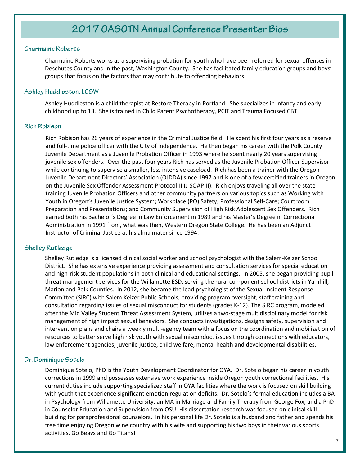### **2017 OASOTN Annual Conference Presenter Bios**

#### **Charmaine Roberts**

Charmaine Roberts works as a supervising probation for youth who have been referred for sexual offenses in Deschutes County and in the past, Washington County. She has facilitated family education groups and boys' groups that focus on the factors that may contribute to offending behaviors.

#### **Ashley Huddleston, LCSW**

Ashley Huddleston is a child therapist at Restore Therapy in Portland. She specializes in infancy and early childhood up to 13. She is trained in Child Parent Psychotherapy, PCIT and Trauma Focused CBT.

#### **Rich Robison**

Rich Robison has 26 years of experience in the Criminal Justice field. He spent his first four years as a reserve and full-time police officer with the City of Independence. He then began his career with the Polk County Juvenile Department as a Juvenile Probation Officer in 1993 where he spent nearly 20 years supervising juvenile sex offenders. Over the past four years Rich has served as the Juvenile Probation Officer Supervisor while continuing to supervise a smaller, less intensive caseload. Rich has been a trainer with the Oregon Juvenile Department Directors' Association (OJDDA) since 1997 and is one of a few certified trainers in Oregon on the Juvenile Sex Offender Assessment Protocol-II (J-SOAP-II). Rich enjoys traveling all over the state training Juvenile Probation Officers and other community partners on various topics such as Working with Youth in Oregon's Juvenile Justice System; Workplace (PO) Safety; Professional Self-Care; Courtroom Preparation and Presentations; and Community Supervision of High Risk Adolescent Sex Offenders. Rich earned both his Bachelor's Degree in Law Enforcement in 1989 and his Master's Degree in Correctional Administration in 1991 from, what was then, Western Oregon State College. He has been an Adjunct Instructor of Criminal Justice at his alma mater since 1994.

#### **Shelley Rutledge**

Shelley Rutledge is a licensed clinical social worker and school psychologist with the Salem-Keizer School District. She has extensive experience providing assessment and consultation services for special education and high-risk student populations in both clinical and educational settings. In 2005, she began providing pupil threat management services for the Willamette ESD, serving the rural component school districts in Yamhill, Marion and Polk Counties. In 2012, she became the lead psychologist of the Sexual Incident Response Committee (SIRC) with Salem Keizer Public Schools, providing program oversight, staff training and consultation regarding issues of sexual misconduct for students (grades K-12). The SIRC program, modeled after the Mid Valley Student Threat Assessment System, utilizes a two-stage multidisciplinary model for risk management of high impact sexual behaviors. She conducts investigations, designs safety, supervision and intervention plans and chairs a weekly multi-agency team with a focus on the coordination and mobilization of resources to better serve high risk youth with sexual misconduct issues through connections with educators, law enforcement agencies, juvenile justice, child welfare, mental health and developmental disabilities.

#### **Dr. Dominique Sotelo**

Dominique Sotelo, PhD is the Youth Development Coordinator for OYA. Dr. Sotelo began his career in youth corrections in 1999 and possesses extensive work experience inside Oregon youth correctional facilities. His current duties include supporting specialized staff in OYA facilities where the work is focused on skill building with youth that experience significant emotion regulation deficits. Dr. Sotelo's formal education includes a BA in Psychology from Willamette University, an MA in Marriage and Family Therapy from George Fox, and a PhD in Counselor Education and Supervision from OSU. His dissertation research was focused on clinical skill building for paraprofessional counselors. In his personal life Dr. Sotelo is a husband and father and spends his free time enjoying Oregon wine country with his wife and supporting his two boys in their various sports activities. Go Beavs and Go Titans!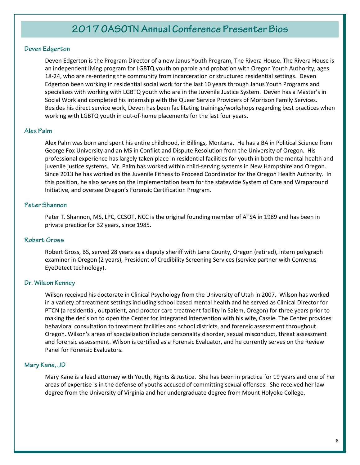# **2017 OASOTN Annual Conference Presenter Bios**

#### **Deven Edgerton**

Deven Edgerton is the Program Director of a new Janus Youth Program, The Rivera House. The Rivera House is an independent living program for LGBTQ youth on parole and probation with Oregon Youth Authority, ages 18-24, who are re-entering the community from incarceration or structured residential settings. Deven Edgerton been working in residential social work for the last 10 years through Janus Youth Programs and specializes with working with LGBTQ youth who are in the Juvenile Justice System. Deven has a Master's in Social Work and completed his internship with the Queer Service Providers of Morrison Family Services. Besides his direct service work, Deven has been facilitating trainings/workshops regarding best practices when working with LGBTQ youth in out-of-home placements for the last four years.

#### **Alex Palm**

Alex Palm was born and spent his entire childhood, in Billings, Montana. He has a BA in Political Science from George Fox University and an MS in Conflict and Dispute Resolution from the University of Oregon. His professional experience has largely taken place in residential facilities for youth in both the mental health and juvenile justice systems. Mr. Palm has worked within child-serving systems in New Hampshire and Oregon. Since 2013 he has worked as the Juvenile Fitness to Proceed Coordinator for the Oregon Health Authority. In this position, he also serves on the implementation team for the statewide System of Care and Wraparound Initiative, and oversee Oregon's Forensic Certification Program.

#### **Peter Shannon**

Peter T. Shannon, MS, LPC, CCSOT, NCC is the original founding member of ATSA in 1989 and has been in private practice for 32 years, since 1985.

#### **Robert Gross**

Robert Gross, BS, served 28 years as a deputy sheriff with Lane County, Oregon (retired), intern polygraph examiner in Oregon (2 years), President of Credibility Screening Services (service partner with Converus EyeDetect technology).

#### **Dr. Wilson Kenney**

Wilson received his doctorate in Clinical Psychology from the University of Utah in 2007. Wilson has worked in a variety of treatment settings including school based mental health and he served as Clinical Director for PTCN (a residential, outpatient, and proctor care treatment facility in Salem, Oregon) for three years prior to making the decision to open the Center for Integrated Intervention with his wife, Cassie. The Center provides behavioral consultation to treatment facilities and school districts, and forensic assessment throughout Oregon. Wilson's areas of specialization include personality disorder, sexual misconduct, threat assessment and forensic assessment. Wilson is certified as a Forensic Evaluator, and he currently serves on the Review Panel for Forensic Evaluators.

#### **Mary Kane, JD**

Mary Kane is a lead attorney with Youth, Rights & Justice. She has been in practice for 19 years and one of her areas of expertise is in the defense of youths accused of committing sexual offenses. She received her law degree from the University of Virginia and her undergraduate degree from Mount Holyoke College.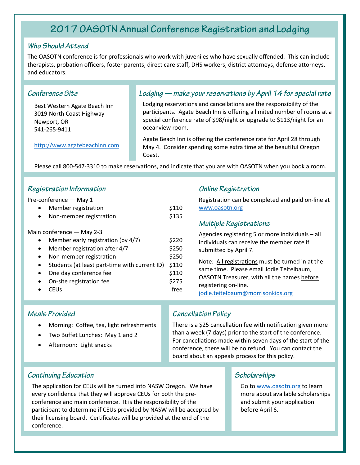# **2017 OASOTN Annual Conference Registration and Lodging**

### *Who Should Attend*

The OASOTN conference is for professionals who work with juveniles who have sexually offended. This can include therapists, probation officers, foster parents, direct care staff, DHS workers, district attorneys, defense attorneys, and educators.

### *Conference Site*

Best Western Agate Beach Inn 3019 North Coast Highway Newport, OR 541-265-9411

#### [http://www.agatebeachinn.com](http://www.agatebeachinn.com/)

*Lodging — make your reservations by April 14 for special rate*

Lodging reservations and cancellations are the responsibility of the participants. Agate Beach Inn is offering a limited number of rooms at a special conference rate of \$98/night or upgrade to \$113/night for an oceanview room.

Agate Beach Inn is offering the conference rate for April 28 through May 4. Consider spending some extra time at the beautiful Oregon Coast.

Please call 800-547-3310 to make reservations, and indicate that you are with OASOTN when you book a room.

### *Registration Information*

#### Pre-conference — May 1

| Member registration<br>Non-member registration<br>Main conference — May 2-3<br>Member early registration (by 4/7)<br>Member registration after 4/7<br>Non-member registration<br>$\bullet$<br>Students (at least part-time with current ID)<br>$\bullet$<br>One day conference fee<br>On-site registration fee<br><b>CEUs</b> |  |       |
|-------------------------------------------------------------------------------------------------------------------------------------------------------------------------------------------------------------------------------------------------------------------------------------------------------------------------------|--|-------|
|                                                                                                                                                                                                                                                                                                                               |  | \$110 |
|                                                                                                                                                                                                                                                                                                                               |  | \$135 |
|                                                                                                                                                                                                                                                                                                                               |  |       |
|                                                                                                                                                                                                                                                                                                                               |  | \$220 |
|                                                                                                                                                                                                                                                                                                                               |  | \$250 |
|                                                                                                                                                                                                                                                                                                                               |  | \$250 |
|                                                                                                                                                                                                                                                                                                                               |  | \$110 |
|                                                                                                                                                                                                                                                                                                                               |  | \$110 |
|                                                                                                                                                                                                                                                                                                                               |  | \$275 |
|                                                                                                                                                                                                                                                                                                                               |  | free  |

### *Meals Provided*

- Morning: Coffee, tea, light refreshments
- Two Buffet Lunches: May 1 and 2
- Afternoon: Light snacks

### *Online Registration*

Registration can be completed and paid on-line at [www.oasotn.org](http://www.oasotn.org/)

### *Multiple Registrations*

Agencies registering 5 or more individuals – all individuals can receive the member rate if submitted by April 7.

Note: All registrations must be turned in at the same time. Please email Jodie Teitelbaum, OASOTN Treasurer, with all the names before registering on-line.

[jodie.teitelbaum@morrisonkids.org](mailto:jodie.teitelbaum@morrisonkids.org)

### *Cancellation Policy*

There is a \$25 cancellation fee with notification given more than a week (7 days) prior to the start of the conference. For cancellations made within seven days of the start of the conference, there will be no refund. You can contact the board about an appeals process for this policy.

### *Continuing Education*

The application for CEUs will be turned into NASW Oregon. We have every confidence that they will approve CEUs for both the preconference and main conference. It is the responsibility of the participant to determine if CEUs provided by NASW will be accepted by their licensing board. Certificates will be provided at the end of the conference.

### *Scholarships*

Go t[o www.oasotn.org](http://www.oasotn.org/) to learn more about available scholarships and submit your application before April 6.